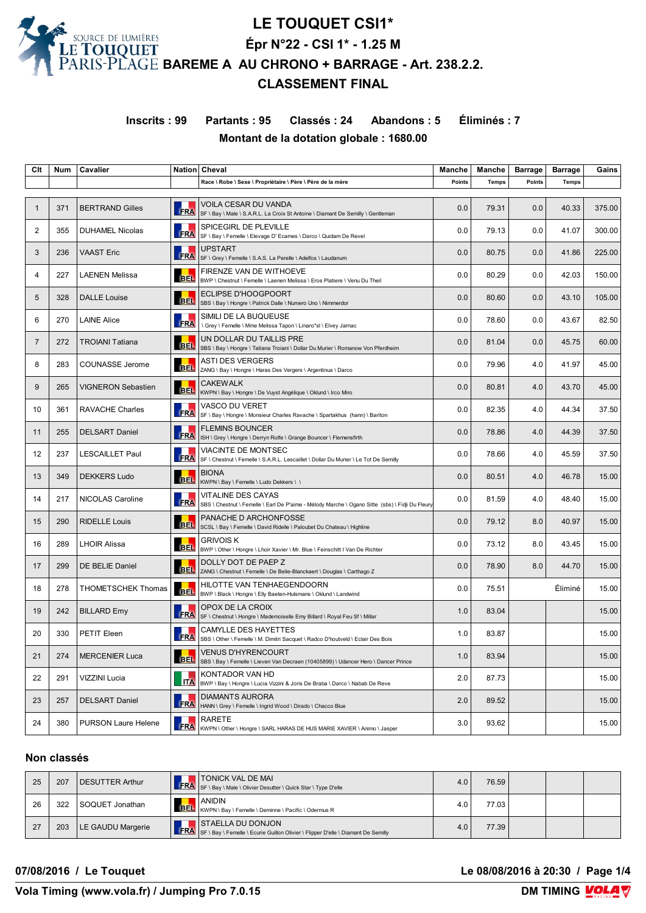

**Inscrits : 99 Partants : 95 Classés : 24 Abandons : 5 Éliminés : 7 Montant de la dotation globale : 1680.00**

| Clt          | Num | Cavalier                   |            | Nation Cheval                                                                                                         | Manche | Manche       | <b>Barrage</b> | <b>Barrage</b> | Gains  |
|--------------|-----|----------------------------|------------|-----------------------------------------------------------------------------------------------------------------------|--------|--------------|----------------|----------------|--------|
|              |     |                            |            | Race \ Robe \ Sexe \ Propriétaire \ Père \ Père de la mère                                                            | Points | <b>Temps</b> | Points         | <b>Temps</b>   |        |
|              |     |                            |            |                                                                                                                       |        |              |                |                |        |
| $\mathbf{1}$ | 371 | <b>BERTRAND Gilles</b>     | <b>FRA</b> | VOILA CESAR DU VANDA<br>SF \ Bay \ Male \ S.A.R.L. La Croix St Antoine \ Diamant De Semilly \ Gentleman               | 0.0    | 79.31        | 0.0            | 40.33          | 375.00 |
| 2            | 355 | <b>DUHAMEL Nicolas</b>     | <b>FRA</b> | SPICEGIRL DE PLEVILLE<br>SF \ Bay \ Femelle \ Elevage D' Ecames \ Darco \ Quidam De Revel                             | 0.0    | 79.13        | 0.0            | 41.07          | 300.00 |
| 3            | 236 | <b>VAAST Eric</b>          | <b>FRA</b> | UPSTART<br>SF \ Grey \ Femelle \ S.A.S. La Perelle \ Adelfos \ Laudanum                                               | 0.0    | 80.75        | 0.0            | 41.86          | 225.00 |
| 4            | 227 | <b>LAENEN Melissa</b>      | <b>BEL</b> | FIRENZE VAN DE WITHOEVE<br>BWP \ Chestnut \ Femelle \ Laenen Melissa \ Eros Platiere \ Venu Du Theil                  | 0.0    | 80.29        | 0.0            | 42.03          | 150.00 |
| 5            | 328 | <b>DALLE Louise</b>        | <b>BEL</b> | <b>ECLIPSE D'HOOGPOORT</b><br>SBS \ Bay \ Hongre \ Patrick Dalle \ Numero Uno \ Nimmerdor                             | 0.0    | 80.60        | 0.0            | 43.10          | 105.00 |
| 6            | 270 | <b>LAINE Alice</b>         | <b>FRA</b> | SIMILI DE LA BUQUEUSE<br>\ Grey \ Femelle \ Mme Melissa Tapon \ Linaro*sl \ Elvey Jarnac                              | 0.0    | 78.60        | 0.0            | 43.67          | 82.50  |
| 7            | 272 | <b>TROIANI Tatiana</b>     | <b>BEL</b> | UN DOLLAR DU TAILLIS PRE<br>SBS \ Bay \ Hongre \ Tatiana Troiani \ Dollar Du Murier \ Romanow Von Pferdheim           | 0.0    | 81.04        | 0.0            | 45.75          | 60.00  |
| 8            | 283 | <b>COUNASSE Jerome</b>     | <b>BEL</b> | ASTI DES VERGERS<br>ZANG \ Bay \ Hongre \ Haras Des Vergers \ Argentinus \ Darco                                      | 0.0    | 79.96        | 4.0            | 41.97          | 45.00  |
| 9            | 265 | <b>VIGNERON Sebastien</b>  | <b>BEL</b> | <b>CAKEWALK</b><br>KWPN \ Bay \ Hongre \ De Vuyst Angélique \ Oklund \ Irco Miro                                      | 0.0    | 80.81        | 4.0            | 43.70          | 45.00  |
| 10           | 361 | <b>RAVACHE Charles</b>     | <b>FRA</b> | VASCO DU VERET<br>SF \ Bay \ Hongre \ Monsieur Charles Ravache \ Spartakhus (hann) \ Bariton                          | 0.0    | 82.35        | 4.0            | 44.34          | 37.50  |
| 11           | 255 | <b>DELSART Daniel</b>      | <b>FRA</b> | <b>FLEMINS BOUNCER</b><br>ISH \ Grey \ Hongre \ Derryn Rolfe \ Grange Bouncer \ Flemensfirth                          | 0.0    | 78.86        | 4.0            | 44.39          | 37.50  |
| 12           | 237 | <b>LESCAILLET Paul</b>     | <b>FRA</b> | <b>VIACINTE DE MONTSEC</b><br>SF \ Chestnut \ Femelle \ S.A.R.L. Lescaillet \ Dollar Du Murier \ Le Tot De Semilly    | 0.0    | 78.66        | 4.0            | 45.59          | 37.50  |
| 13           | 349 | <b>DEKKERS Ludo</b>        | <b>BEL</b> | <b>BIONA</b><br>KWPN \ Bay \ Femelle \ Ludo Dekkers \ \                                                               | 0.0    | 80.51        | 4.0            | 46.78          | 15.00  |
| 14           | 217 | NICOLAS Caroline           | FRA        | VITALINE DES CAYAS<br>SBS \ Chestnut \ Femelle \ Earl De P'aime - Mélody Marche \ Ogano Sitte (sbs) \ Fidji Du Fleury | 0.0    | 81.59        | 4.0            | 48.40          | 15.00  |
| 15           | 290 | <b>RIDELLE Louis</b>       | <b>BEL</b> | PANACHE D ARCHONFOSSE<br>SCSL \ Bay \ Femelle \ David Ridelle \ Paloubet Du Chateau \ Highline                        | 0.0    | 79.12        | 8.0            | 40.97          | 15.00  |
| 16           | 289 | <b>LHOIR Alissa</b>        | <b>BEL</b> | <b>GRIVOIS K</b><br>BWP \ Other \ Hongre \ Lhoir Xavier \ Mr. Blue \ Feinschitt I Van De Richter                      | 0.0    | 73.12        | 8.0            | 43.45          | 15.00  |
| 17           | 299 | DE BELIE Daniel            | <b>BEL</b> | DOLLY DOT DE PAEP Z<br>ZANG \ Chestnut \ Femelle \ De Belie-Blanckaert \ Douglas \ Carthago Z                         | 0.0    | 78.90        | 8.0            | 44.70          | 15.00  |
| 18           | 278 | <b>THOMETSCHEK Thomas</b>  | <b>BEL</b> | HILOTTE VAN TENHAEGENDOORN<br>BWP \ Black \ Hongre \ Elly Baeten-Hulsmans \ Oklund \ Landwind                         | 0.0    | 75.51        |                | Éliminé        | 15.00  |
| 19           | 242 | <b>BILLARD Emy</b>         | <b>FRA</b> | OPOX DE LA CROIX<br>SF \ Chestnut \ Hongre \ Mademoiselle Emy Billard \ Royal Feu Sf \ Millar                         | 1.0    | 83.04        |                |                | 15.00  |
| 20           | 330 | PETIT Eleen                | <b>FRA</b> | <b>CAMYLLE DES HAYETTES</b><br>SBS \ Other \ Femelle \ M. Dimitri Sacquet \ Radco D'houtveld \ Eclair Des Bois        | 1.0    | 83.87        |                |                | 15.00  |
| 21           | 274 | <b>MERCENIER Luca</b>      | <b>BEL</b> | VENUS D'HYRENCOURT<br>SBS \ Bay \ Femelle \ Lieven Van Decraen (10405899) \ Udancer Hero \ Dancer Prince              | 1.0    | 83.94        |                |                | 15.00  |
| 22           | 291 | VIZZINI Lucia              | <b>ITA</b> | KONTADOR VAN HD<br>BWP \ Bay \ Hongre \ Lucia Vizzini & Joris De Braba \ Darco \ Nabab De Reve                        | 2.0    | 87.73        |                |                | 15.00  |
| 23           | 257 | <b>DELSART Daniel</b>      | FRA        | DIAMANTS AURORA<br>HANN \ Grey \ Femelle \ Ingrid Wood \ Dirado \ Chacco Blue                                         | 2.0    | 89.52        |                |                | 15.00  |
| 24           | 380 | <b>PURSON Laure Helene</b> | <b>FRA</b> | RARETE<br>KWPN \ Other \ Hongre \ SARL HARAS DE HUS MARIE XAVIER \ Animo \ Jasper                                     | 3.0    | 93.62        |                |                | 15.00  |

### **Non classés**

| 25 | 207 | DESUTTER Arthur   | TONICK VAL DE MAI<br><b>FRA</b> SF \ Bay \ Male \ Olivier Desutter \ Quick Star \ Type D'elle                        | 4.0 | 76.59 |  |  |
|----|-----|-------------------|----------------------------------------------------------------------------------------------------------------------|-----|-------|--|--|
| 26 | 322 | SOQUET Jonathan   | <b>ANIDIN</b><br>BEL   KWPN \ Bay \ Femelle \ Deminne \ Pacific \ Odermus R                                          |     | 77.03 |  |  |
| 27 | 203 | LE GAUDU Margerie | I ISTAELLA DU DONJON<br><b>FRA</b> SF \ Bay \ Femelle \ Ecurie Guillon Olivier \ Flipper D'elle \ Diamant De Semilly | 4.0 | 77.39 |  |  |

**07/08/2016 / Le Touquet Le 08/08/2016 à 20:30 / Page 1/4**

**Vola Timing (www.vola.fr) / Jumping Pro 7.0.15**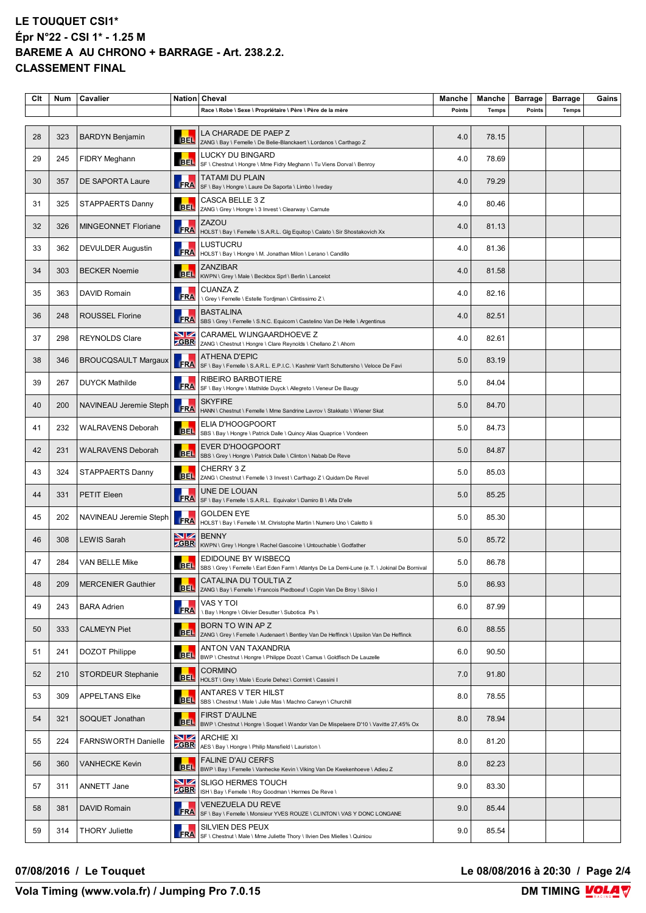| Clt | Num | Cavalier                   |                   | Nation Cheval                                                                                                       | Manche | Manche       | <b>Barrage</b> | <b>Barrage</b> | Gains |
|-----|-----|----------------------------|-------------------|---------------------------------------------------------------------------------------------------------------------|--------|--------------|----------------|----------------|-------|
|     |     |                            |                   | Race \ Robe \ Sexe \ Propriétaire \ Père \ Père de la mère                                                          | Points | <b>Temps</b> | Points         | <b>Temps</b>   |       |
| 28  | 323 | <b>BARDYN Benjamin</b>     | <b>BEL</b>        | LA CHARADE DE PAEP Z<br>ZANG \ Bay \ Femelle \ De Belie-Blanckaert \ Lordanos \ Carthago Z                          | 4.0    | 78.15        |                |                |       |
| 29  | 245 | FIDRY Meghann              | <b>BEL</b>        | LUCKY DU BINGARD<br>SF \ Chestnut \ Hongre \ Mme Fidry Meghann \ Tu Viens Dorval \ Benroy                           | 4.0    | 78.69        |                |                |       |
| 30  | 357 | DE SAPORTA Laure           | FRA               | <b>TATAMI DU PLAIN</b><br>SF \ Bay \ Hongre \ Laure De Saporta \ Limbo \ Iveday                                     | 4.0    | 79.29        |                |                |       |
| 31  | 325 | STAPPAERTS Danny           | <b>BEL</b>        | CASCA BELLE 3 Z<br>ZANG \ Grey \ Hongre \ 3 Invest \ Clearway \ Carnute                                             | 4.0    | 80.46        |                |                |       |
| 32  | 326 | <b>MINGEONNET Floriane</b> | <b>FRA</b>        | ZAZOU<br>HOLST \ Bay \ Femelle \ S.A.R.L. Glg Equitop \ Calato \ Sir Shostakovich Xx                                | 4.0    | 81.13        |                |                |       |
| 33  | 362 | <b>DEVULDER Augustin</b>   | <b>FRA</b>        | LUSTUCRU<br>HOLST \ Bay \ Hongre \ M. Jonathan Milon \ Lerano \ Candillo                                            | 4.0    | 81.36        |                |                |       |
| 34  | 303 | <b>BECKER Noemie</b>       | <b>BEL</b>        | <b>ZANZIBAR</b><br>KWPN \ Grey \ Male \ Beckbox Sprl \ Berlin \ Lancelot                                            | 4.0    | 81.58        |                |                |       |
| 35  | 363 | DAVID Romain               | ш<br><b>FRA</b>   | <b>CUANZA Z</b><br>\ Grey \ Femelle \ Estelle Tordjman \ Clintissimo Z \                                            | 4.0    | 82.16        |                |                |       |
| 36  | 248 | <b>ROUSSEL Florine</b>     | <b>FRA</b>        | <b>BASTALINA</b><br>SBS \ Grey \ Femelle \ S.N.C. Equicom \ Castelino Van De Helle \ Argentinus                     | 4.0    | 82.51        |                |                |       |
| 37  | 298 | <b>REYNOLDS Clare</b>      | VZ<br><b>ZGBR</b> | CARAMEL WIJNGAARDHOEVE Z<br>ZANG \ Chestnut \ Hongre \ Clare Reynolds \ Chellano Z \ Ahorn                          | 4.0    | 82.61        |                |                |       |
| 38  | 346 | <b>BROUCQSAULT Margaux</b> | FRA               | <b>ATHENA D'EPIC</b><br>SF \ Bay \ Femelle \ S.A.R.L. E.P.I.C. \ Kashmir Van't Schuttersho \ Veloce De Favi         | 5.0    | 83.19        |                |                |       |
| 39  | 267 | <b>DUYCK Mathilde</b>      | FRA               | <b>RIBEIRO BARBOTIERE</b><br>SF \ Bay \ Hongre \ Mathilde Duyck \ Allegreto \ Veneur De Baugy                       | 5.0    | 84.04        |                |                |       |
| 40  | 200 | NAVINEAU Jeremie Steph     | <b>FRA</b>        | <b>SKYFIRE</b><br>HANN \ Chestnut \ Femelle \ Mme Sandrine Lavrov \ Stakkato \ Wiener Skat                          | 5.0    | 84.70        |                |                |       |
| 41  | 232 | <b>WALRAVENS Deborah</b>   | <b>BEL</b>        | ELIA D'HOOGPOORT<br>SBS \ Bay \ Hongre \ Patrick Dalle \ Quincy Alias Quaprice \ Vondeen                            | 5.0    | 84.73        |                |                |       |
| 42  | 231 | <b>WALRAVENS Deborah</b>   | <b>BEL</b>        | <b>EVER D'HOOGPOORT</b><br>SBS \ Grey \ Hongre \ Patrick Dalle \ Clinton \ Nabab De Reve                            | 5.0    | 84.87        |                |                |       |
| 43  | 324 | STAPPAERTS Danny           | <b>BEL</b>        | CHERRY 3Z<br>ZANG \ Chestnut \ Femelle \ 3 Invest \ Carthago Z \ Quidam De Revel                                    | 5.0    | 85.03        |                |                |       |
| 44  | 331 | PETIT Eleen                | <b>FRA</b>        | UNE DE LOUAN<br>SF \ Bay \ Femelle \ S.A.R.L. Equivalor \ Damiro B \ Alfa D'elle                                    | 5.0    | 85.25        |                |                |       |
| 45  | 202 | NAVINEAU Jeremie Steph     | FRA               | <b>GOLDEN EYE</b><br>HOLST \ Bay \ Femelle \ M. Christophe Martin \ Numero Uno \ Caletto Ii                         | 5.0    | 85.30        |                |                |       |
| 46  | 308 | <b>LEWIS Sarah</b>         | NZ<br><b>ZGBR</b> | <b>BENNY</b><br>KWPN \ Grey \ Hongre \ Rachel Gascoine \ Untouchable \ Godfather                                    | 5.0    | 85.72        |                |                |       |
| 47  | 284 | VAN BELLE Mike             | <b>BEL</b>        | EDIDOUNE BY WISBECQ<br>SBS \ Grey \ Femelle \ Earl Eden Farm \ Atlantys De La Demi-Lune (e.T. \ Jokinal De Bornival | 5.0    | 86.78        |                |                |       |
| 48  | 209 | <b>MERCENIER Gauthier</b>  | <b>BEL</b>        | CATALINA DU TOULTIA Z<br>ZANG \ Bay \ Femelle \ Francois Piedboeuf \ Copin Van De Broy \ Silvio I                   | 5.0    | 86.93        |                |                |       |
| 49  | 243 | <b>BARA Adrien</b>         | <b>FRA</b>        | VAS Y TOI<br>\ Bay \ Hongre \ Olivier Desutter \ Subotica Ps \                                                      | 6.0    | 87.99        |                |                |       |
| 50  | 333 | <b>CALMEYN Piet</b>        | <b>BEL</b>        | BORN TO WIN AP Z<br>ZANG \ Grey \ Femelle \ Audenaert \ Bentley Van De Heffinck \ Upsilon Van De Heffinck           | 6.0    | 88.55        |                |                |       |
| 51  | 241 | DOZOT Philippe             | <b>BEL</b>        | ANTON VAN TAXANDRIA<br>BWP \ Chestnut \ Hongre \ Philippe Dozot \ Camus \ Goldfisch De Lauzelle                     | 6.0    | 90.50        |                |                |       |
| 52  | 210 | <b>STORDEUR Stephanie</b>  | <b>BEL</b>        | <b>CORMINO</b><br>HOLST \ Grey \ Male \ Ecurie Dehez \ Cormint \ Cassini I                                          | 7.0    | 91.80        |                |                |       |
| 53  | 309 | APPELTANS Elke             | <b>BEL</b>        | <b>ANTARES V TER HILST</b><br>SBS \ Chestnut \ Male \ Julie Mas \ Machno Carwyn \ Churchill                         | 8.0    | 78.55        |                |                |       |
| 54  | 321 | SOQUET Jonathan            | <b>BEL</b>        | FIRST D'AULNE<br>BWP \ Chestnut \ Hongre \ Soquet \ Wandor Van De Mispelaere D'10 \ Vavitte 27,45% Ox               | 8.0    | 78.94        |                |                |       |
| 55  | 224 | <b>FARNSWORTH Danielle</b> | VZ<br><b>ZGBR</b> | <b>ARCHIE XI</b><br>AES \ Bay \ Hongre \ Philip Mansfield \ Lauriston \                                             | 8.0    | 81.20        |                |                |       |
| 56  | 360 | <b>VANHECKE Kevin</b>      | <b>BEL</b>        | <b>FALINE D'AU CERFS</b><br>BWP \ Bay \ Femelle \ Vanhecke Kevin \ Viking Van De Kwekenhoeve \ Adieu Z              | 8.0    | 82.23        |                |                |       |
| 57  | 311 | ANNETT Jane                | VZ<br><b>ZGBR</b> | <b>SLIGO HERMES TOUCH</b><br>ISH \ Bay \ Femelle \ Roy Goodman \ Hermes De Reve \                                   | 9.0    | 83.30        |                |                |       |
| 58  | 381 | DAVID Romain               | <b>FRA</b>        | VENEZUELA DU REVE<br>SF \ Bay \ Femelle \ Monsieur YVES ROUZE \ CLINTON \ VAS Y DONC LONGANE                        | 9.0    | 85.44        |                |                |       |
| 59  | 314 | <b>THORY Juliette</b>      | <b>FRA</b>        | SILVIEN DES PEUX<br>SF \ Chestnut \ Male \ Mme Juliette Thory \ Ilvien Des Mielles \ Quiniou                        | 9.0    | 85.54        |                |                |       |

**07/08/2016 / Le Touquet Le 08/08/2016 à 20:30 / Page 2/4**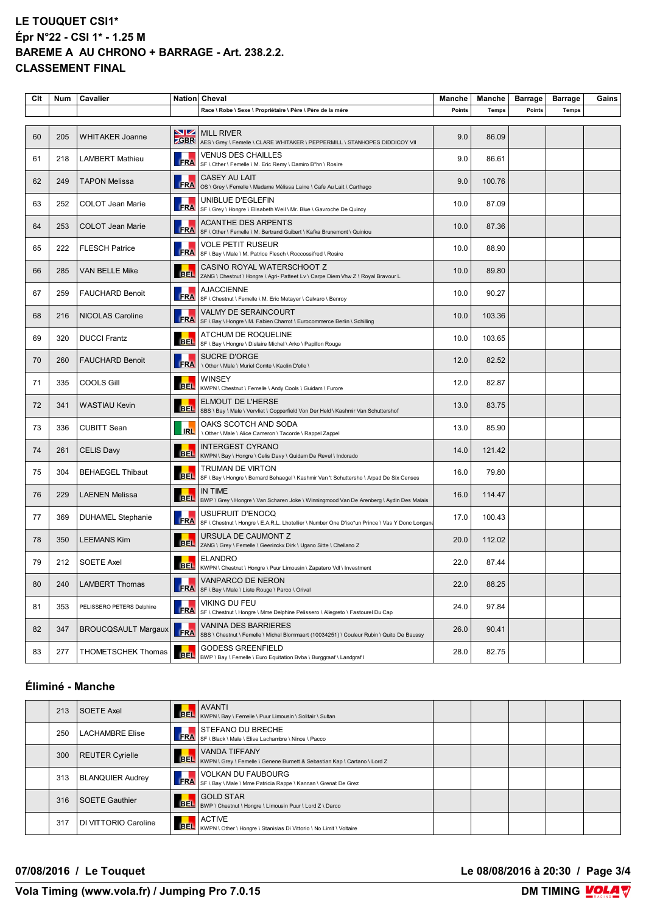| Clt | Num | Cavalier                   |            | Nation Cheval                                                                                                      | Manche | Manche       | <b>Barrage</b> | <b>Barrage</b> | Gains |
|-----|-----|----------------------------|------------|--------------------------------------------------------------------------------------------------------------------|--------|--------------|----------------|----------------|-------|
|     |     |                            |            | Race \ Robe \ Sexe \ Propriétaire \ Père \ Père de la mère                                                         | Points | <b>Temps</b> | Points         | <b>Temps</b>   |       |
| 60  | 205 | WHITAKER Joanne            | VZ         | <b>MILL RIVER</b><br><b>CGBR</b> AES \ Grey \ Femelle \ CLARE WHITAKER \ PEPPERMILL \ STANHOPES DIDDICOY VII       | 9.0    | 86.09        |                |                |       |
| 61  | 218 | <b>LAMBERT Mathieu</b>     | FRA        | <b>VENUS DES CHAILLES</b><br>SF \ Other \ Femelle \ M. Eric Remy \ Damiro B*hn \ Rosire                            | 9.0    | 86.61        |                |                |       |
| 62  | 249 | <b>TAPON Melissa</b>       | FRA        | <b>CASEY AU LAIT</b><br>OS \ Grey \ Femelle \ Madame Mélissa Laine \ Cafe Au Lait \ Carthago                       | 9.0    | 100.76       |                |                |       |
| 63  | 252 | COLOT Jean Marie           | FRA        | UNIBLUE D'EGLEFIN<br>SF \ Grey \ Hongre \ Elisabeth Weil \ Mr. Blue \ Gavroche De Quincy                           | 10.0   | 87.09        |                |                |       |
| 64  | 253 | <b>COLOT Jean Marie</b>    | FRA        | <b>ACANTHE DES ARPENTS</b><br>SF \ Other \ Femelle \ M. Bertrand Guibert \ Kafka Brunemont \ Quiniou               | 10.0   | 87.36        |                |                |       |
| 65  | 222 | <b>FLESCH Patrice</b>      | <b>FRA</b> | <b>VOLE PETIT RUSEUR</b><br>SF \ Bay \ Male \ M. Patrice Flesch \ Roccossifred \ Rosire                            | 10.0   | 88.90        |                |                |       |
| 66  | 285 | VAN BELLE Mike             | <b>BEL</b> | CASINO ROYAL WATERSCHOOT Z<br>ZANG \ Chestnut \ Hongre \ Agri- Patteet Lv \ Carpe Diem Vhw Z \ Royal Bravour L     | 10.0   | 89.80        |                |                |       |
| 67  | 259 | <b>FAUCHARD Benoit</b>     | <b>FRA</b> | <b>AJACCIENNE</b><br>SF \ Chestnut \ Femelle \ M. Eric Metayer \ Calvaro \ Benroy                                  | 10.0   | 90.27        |                |                |       |
| 68  | 216 | NICOLAS Caroline           | FRA        | VALMY DE SERAINCOURT<br>SF \ Bay \ Hongre \ M. Fabien Charrot \ Eurocommerce Berlin \ Schilling                    | 10.0   | 103.36       |                |                |       |
| 69  | 320 | <b>DUCCI Frantz</b>        | <b>BEL</b> | ATCHUM DE ROQUELINE<br>SF \ Bay \ Hongre \ Dislaire Michel \ Arko \ Papillon Rouge                                 | 10.0   | 103.65       |                |                |       |
| 70  | 260 | <b>FAUCHARD Benoit</b>     | <b>FRA</b> | <b>SUCRE D'ORGE</b><br>\ Other \ Male \ Muriel Comte \ Kaolin D'elle \                                             | 12.0   | 82.52        |                |                |       |
| 71  | 335 | COOLS Gill                 | <b>BEL</b> | WINSEY<br>KWPN \ Chestnut \ Femelle \ Andy Cools \ Guidam \ Furore                                                 | 12.0   | 82.87        |                |                |       |
| 72  | 341 | <b>WASTIAU Kevin</b>       | <b>BEL</b> | ELMOUT DE L'HERSE<br>SBS \ Bay \ Male \ Vervliet \ Copperfield Von Der Held \ Kashmir Van Schuttershof             | 13.0   | 83.75        |                |                |       |
| 73  | 336 | <b>CUBITT Sean</b>         | <b>RL</b>  | OAKS SCOTCH AND SODA<br>\ Other \ Male \ Alice Cameron \ Tacorde \ Rappel Zappel                                   | 13.0   | 85.90        |                |                |       |
| 74  | 261 | <b>CELIS Davy</b>          | <b>BEL</b> | <b>INTERGEST CYRANO</b><br>KWPN \ Bay \ Hongre \ Celis Davy \ Quidam De Revel \ Indorado                           | 14.0   | 121.42       |                |                |       |
| 75  | 304 | <b>BEHAEGEL Thibaut</b>    | <b>BEL</b> | TRUMAN DE VIRTON<br>SF \ Bay \ Hongre \ Bernard Behaegel \ Kashmir Van 't Schuttersho \ Arpad De Six Censes        | 16.0   | 79.80        |                |                |       |
| 76  | 229 | <b>LAENEN Melissa</b>      |            | IN TIME<br>BEL  BWP \ Grey \ Hongre \ Van Scharen Joke \ Winningmood Van De Arenberg \ Aydin Des Malais            | 16.0   | 114.47       |                |                |       |
| 77  | 369 | <b>DUHAMEL Stephanie</b>   | FRA        | USUFRUIT D'ENOCQ<br>SF \ Chestnut \ Hongre \ E.A.R.L. Lhotellier \ Number One D'iso*un Prince \ Vas Y Donc Longane | 17.0   | 100.43       |                |                |       |
| 78  | 350 | <b>LEEMANS Kim</b>         | <b>BEL</b> | URSULA DE CAUMONT Z<br>ZANG \ Grey \ Femelle \ Geerinckx Dirk \ Ugano Sitte \ Chellano Z                           | 20.0   | 112.02       |                |                |       |
| 79  | 212 | <b>SOETE Axel</b>          | <b>BEL</b> | <b>ELANDRO</b><br>KWPN \ Chestnut \ Hongre \ Puur Limousin \ Zapatero Vdl \ Investment                             | 22.0   | 87.44        |                |                |       |
| 80  | 240 | LAMBERT Thomas             | <b>ERA</b> | VANPARCO DE NERON<br>SF \ Bay \ Male \ Liste Rouge \ Parco \ Orival                                                | 22.0   | 88.25        |                |                |       |
| 81  | 353 | PELISSERO PETERS Delphine  | <b>FRA</b> | VIKING DU FEU<br>SF \ Chestnut \ Hongre \ Mme Delphine Pelissero \ Allegreto \ Fastourel Du Cap                    | 24.0   | 97.84        |                |                |       |
| 82  | 347 | <b>BROUCQSAULT Margaux</b> | FRA        | VANINA DES BARRIERES<br>SBS \ Chestnut \ Femelle \ Michel Blommaert (10034251) \ Couleur Rubin \ Quito De Baussy   | 26.0   | 90.41        |                |                |       |
| 83  | 277 | THOMETSCHEK Thomas         | <b>BEL</b> | <b>GODESS GREENFIELD</b><br>BWP \ Bay \ Femelle \ Euro Equitation Bvba \ Burggraaf \ Landgraf I                    | 28.0   | 82.75        |                |                |       |

### **Éliminé - Manche**

| 213 | <b>SOETE Axel</b>       |     | <b>AVANTI</b><br>AVAIN II<br>BEL KWPN \ Bay \ Femelle \ Puur Limousin \ Solitair \ Sultan                                           |  |  |  |
|-----|-------------------------|-----|-------------------------------------------------------------------------------------------------------------------------------------|--|--|--|
| 250 | <b>LACHAMBRE Elise</b>  | FRA | <b>ISTEFANO DU BRECHE</b><br>SF \ Black \ Male \ Elise Lachambre \ Ninos \ Pacco                                                    |  |  |  |
| 300 | REUTER Cyrielle         |     | <b>VANDA TIFFANY</b><br><b>BEL</b> VANUA IIFFAIN I<br>BEL KWPN \ Grey \ Femelle \ Genene Burnett & Sebastian Kap \ Cartano \ Lord Z |  |  |  |
| 313 | <b>BLANQUIER Audrey</b> | FRA | <b>VOLKAN DU FAUBOURG</b><br>SF \ Bay \ Male \ Mme Patricia Rappe \ Kannan \ Grenat De Grez                                         |  |  |  |
| 316 | <b>SOETE Gauthier</b>   |     | <b>GOLD STAR</b><br>BEL BULL START<br>BEL BWP \ Chestnut \ Hongre \ Limousin Puur \ Lord Z \ Darco                                  |  |  |  |
| 317 | DI VITTORIO Caroline    |     | <b>ACTIVE</b><br>BEL KWPN\Other\Hongre\Stanislas Di Vittorio \ No Limit \ Voltaire                                                  |  |  |  |

**07/08/2016 / Le Touquet Le 08/08/2016 à 20:30 / Page 3/4**